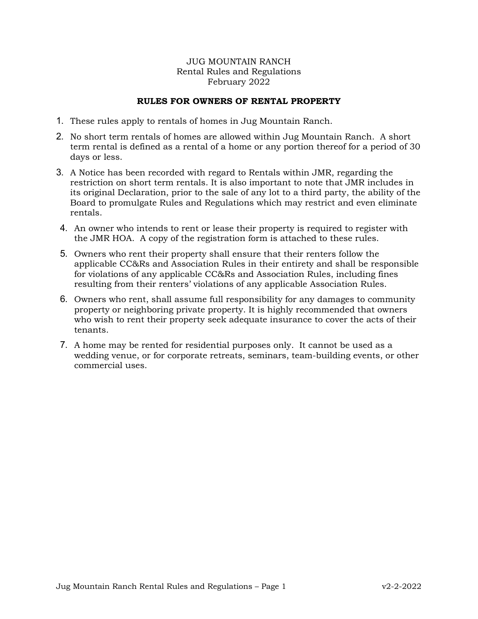## JUG MOUNTAIN RANCH Rental Rules and Regulations February 2022

## **RULES FOR OWNERS OF RENTAL PROPERTY**

- 1. These rules apply to rentals of homes in Jug Mountain Ranch.
- 2. No short term rentals of homes are allowed within Jug Mountain Ranch. A short term rental is defined as a rental of a home or any portion thereof for a period of 30 days or less.
- 3. A Notice has been recorded with regard to Rentals within JMR, regarding the restriction on short term rentals. It is also important to note that JMR includes in its original Declaration, prior to the sale of any lot to a third party, the ability of the Board to promulgate Rules and Regulations which may restrict and even eliminate rentals.
- 4. An owner who intends to rent or lease their property is required to register with the JMR HOA. A copy of the registration form is attached to these rules.
- 5. Owners who rent their property shall ensure that their renters follow the applicable CC&Rs and Association Rules in their entirety and shall be responsible for violations of any applicable CC&Rs and Association Rules, including fines resulting from their renters' violations of any applicable Association Rules.
- 6. Owners who rent, shall assume full responsibility for any damages to community property or neighboring private property. It is highly recommended that owners who wish to rent their property seek adequate insurance to cover the acts of their tenants.
- 7. A home may be rented for residential purposes only. It cannot be used as a wedding venue, or for corporate retreats, seminars, team-building events, or other commercial uses.